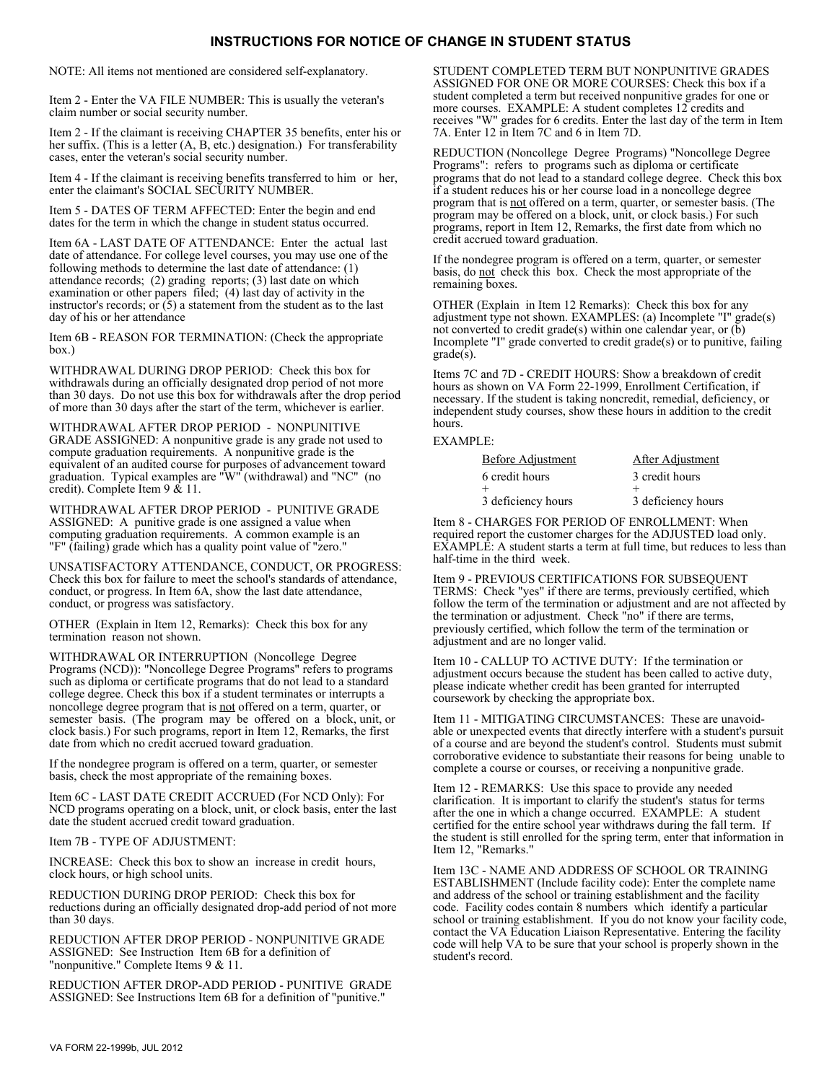## **INSTRUCTIONS FOR NOTICE OF CHANGE IN STUDENT STATUS**

NOTE: All items not mentioned are considered self-explanatory.

Item 2 - Enter the VA FILE NUMBER: This is usually the veteran's claim number or social security number.

Item 2 - If the claimant is receiving CHAPTER 35 benefits, enter his or her suffix. (This is a letter  $(A, B, etc.)$  designation.) For transferability cases, enter the veteran's social security number.

Item 4 - If the claimant is receiving benefits transferred to him or her, enter the claimant's SOCIAL SECURITY NUMBER.

Item 5 - DATES OF TERM AFFECTED: Enter the begin and end dates for the term in which the change in student status occurred.

Item 6A - LAST DATE OF ATTENDANCE: Enter the actual last date of attendance. For college level courses, you may use one of the following methods to determine the last date of attendance: (1) attendance records; (2) grading reports; (3) last date on which examination or other papers filed;  $(4)$  last day of activity in the instructor's records; or  $(5)$  a statement from the student as to the last day of his or her attendance

Item 6B - REASON FOR TERMINATION: (Check the appropriate box.)

WITHDRAWAL DURING DROP PERIOD: Check this box for withdrawals during an officially designated drop period of not more than 30 days. Do not use this box for withdrawals after the drop period of more than 30 days after the start of the term, whichever is earlier.

WITHDRAWAL AFTER DROP PERIOD - NONPUNITIVE GRADE ASSIGNED: A nonpunitive grade is any grade not used to compute graduation requirements. A nonpunitive grade is the equivalent of an audited course for purposes of advancement toward graduation. Typical examples are "W" (withdrawal) and "NC" (no credit). Complete Item 9 & 11.

WITHDRAWAL AFTER DROP PERIOD - PUNITIVE GRADE ASSIGNED: A punitive grade is one assigned a value when computing graduation requirements. A common example is an "F" (failing) grade which has a quality point value of "zero."

UNSATISFACTORY ATTENDANCE, CONDUCT, OR PROGRESS: Check this box for failure to meet the school's standards of attendance, conduct, or progress. In Item 6A, show the last date attendance, conduct, or progress was satisfactory.

OTHER (Explain in Item 12, Remarks): Check this box for any termination reason not shown.

WITHDRAWAL OR INTERRUPTION (Noncollege Degree Programs (NCD)): "Noncollege Degree Programs" refers to programs such as diploma or certificate programs that do not lead to a standard college degree. Check this box if a student terminates or interrupts a noncollege degree program that is not offered on a term, quarter, or semester basis. (The program may be offered on a block, unit, or clock basis.) For such programs, report in Item 12, Remarks, the first date from which no credit accrued toward graduation.

If the nondegree program is offered on a term, quarter, or semester basis, check the most appropriate of the remaining boxes.

Item 6C - LAST DATE CREDIT ACCRUED (For NCD Only): For NCD programs operating on a block, unit, or clock basis, enter the last date the student accrued credit toward graduation.

Item 7B - TYPE OF ADJUSTMENT:

INCREASE: Check this box to show an increase in credit hours, clock hours, or high school units.

REDUCTION DURING DROP PERIOD: Check this box for reductions during an officially designated drop-add period of not more than 30 days.

REDUCTION AFTER DROP PERIOD - NONPUNITIVE GRADE ASSIGNED: See Instruction Item 6B for a definition of "nonpunitive." Complete Items 9 & 11.

REDUCTION AFTER DROP-ADD PERIOD - PUNITIVE GRADE ASSIGNED: See Instructions Item 6B for a definition of "punitive."

STUDENT COMPLETED TERM BUT NONPUNITIVE GRADES ASSIGNED FOR ONE OR MORE COURSES: Check this box if a student completed a term but received nonpunitive grades for one or more courses. EXAMPLE: A student completes 12 credits and receives "W" grades for 6 credits. Enter the last day of the term in Item 7A. Enter 12 in Item 7C and 6 in Item 7D.

REDUCTION (Noncollege Degree Programs) "Noncollege Degree Programs": refers to programs such as diploma or certificate programs that do not lead to a standard college degree. Check this box if a student reduces his or her course load in a noncollege degree program that is not offered on a term, quarter, or semester basis. (The program may be offered on a block, unit, or clock basis.) For such programs, report in Item 12, Remarks, the first date from which no credit accrued toward graduation.

If the nondegree program is offered on a term, quarter, or semester basis, do not check this box. Check the most appropriate of the remaining boxes.

OTHER (Explain in Item 12 Remarks): Check this box for any adjustment type not shown. EXAMPLES: (a) Incomplete "I" grade(s) not converted to credit grade(s) within one calendar year, or  $(b)$ Incomplete "I" grade converted to credit grade(s) or to punitive, failing  $grade(s)$ .

Items 7C and 7D - CREDIT HOURS: Show a breakdown of credit hours as shown on VA Form 22-1999, Enrollment Certification, if necessary. If the student is taking noncredit, remedial, deficiency, or independent study courses, show these hours in addition to the credit hours.

## EXAMPLE:

| <b>Before Adjustment</b> | After Adjustment   |
|--------------------------|--------------------|
| 6 credit hours           | 3 credit hours     |
|                          |                    |
| 3 deficiency hours       | 3 deficiency hours |

Item 8 - CHARGES FOR PERIOD OF ENROLLMENT: When required report the customer charges for the ADJUSTED load only. EXAMPLE: A student starts a term at full time, but reduces to less than half-time in the third week.

Item 9 - PREVIOUS CERTIFICATIONS FOR SUBSEQUENT TERMS: Check "yes" if there are terms, previously certified, which follow the term of the termination or adjustment and are not affected by the termination or adjustment. Check "no" if there are terms, previously certified, which follow the term of the termination or adjustment and are no longer valid.

Item 10 - CALLUP TO ACTIVE DUTY: If the termination or adjustment occurs because the student has been called to active duty, please indicate whether credit has been granted for interrupted coursework by checking the appropriate box.

Item 11 - MITIGATING CIRCUMSTANCES: These are unavoidable or unexpected events that directly interfere with a student's pursuit of a course and are beyond the student's control. Students must submit corroborative evidence to substantiate their reasons for being unable to complete a course or courses, or receiving a nonpunitive grade.

Item 12 - REMARKS: Use this space to provide any needed clarification. It is important to clarify the student's status for terms after the one in which a change occurred. EXAMPLE: A student certified for the entire school year withdraws during the fall term. If the student is still enrolled for the spring term, enter that information in Item 12, "Remarks."

Item 13C - NAME AND ADDRESS OF SCHOOL OR TRAINING ESTABLISHMENT (Include facility code): Enter the complete name and address of the school or training establishment and the facility code. Facility codes contain 8 numbers which identify a particular school or training establishment. If you do not know your facility code, contact the VA Education Liaison Representative. Entering the facility code will help VA to be sure that your school is properly shown in the student's record.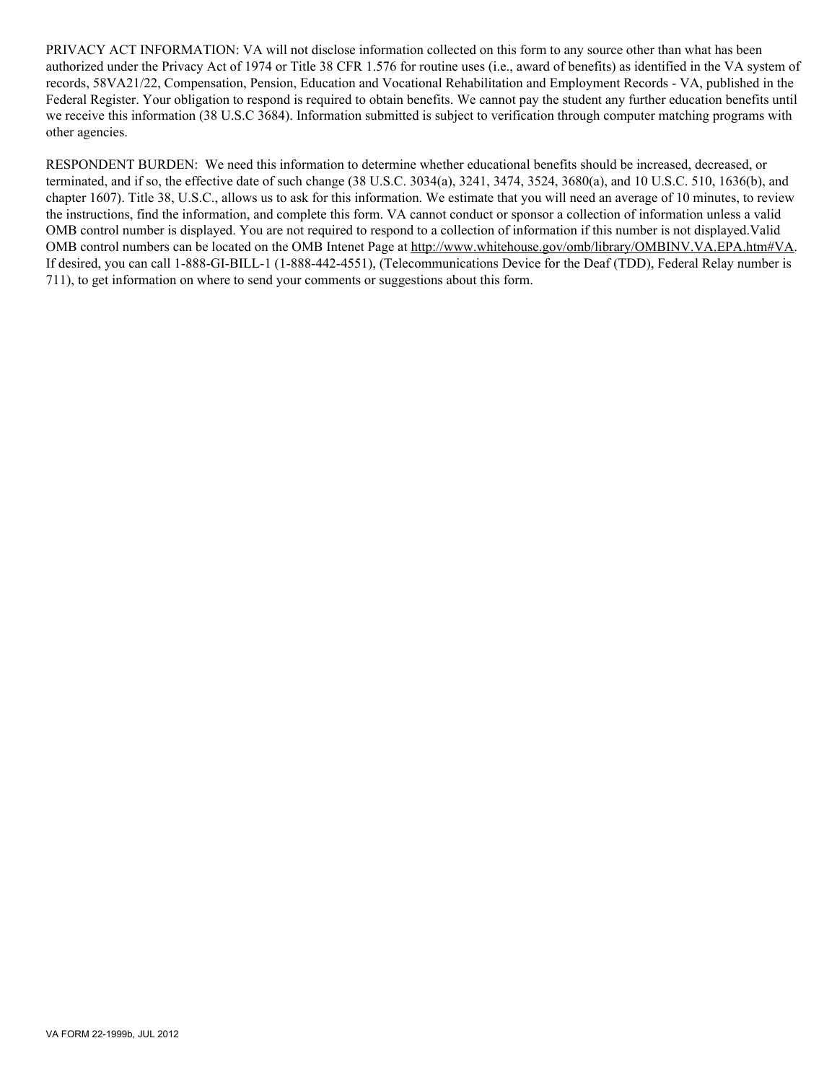PRIVACY ACT INFORMATION: VA will not disclose information collected on this form to any source other than what has been authorized under the Privacy Act of 1974 or Title 38 CFR 1.576 for routine uses (i.e., award of benefits) as identified in the VA system of records, 58VA21/22, Compensation, Pension, Education and Vocational Rehabilitation and Employment Records - VA, published in the Federal Register. Your obligation to respond is required to obtain benefits. We cannot pay the student any further education benefits until we receive this information (38 U.S.C 3684). Information submitted is subject to verification through computer matching programs with other agencies.

RESPONDENT BURDEN: We need this information to determine whether educational benefits should be increased, decreased, or terminated, and if so, the effective date of such change (38 U.S.C. 3034(a), 3241, 3474, 3524, 3680(a), and 10 U.S.C. 510, 1636(b), and chapter 1607). Title 38, U.S.C., allows us to ask for this information. We estimate that you will need an average of 10 minutes, to review the instructions, find the information, and complete this form. VA cannot conduct or sponsor a collection of information unless a valid OMB control number is displayed. You are not required to respond to a collection of information if this number is not displayed.Valid OMB control numbers can be located on the OMB Intenet Page at http://www.whitehouse.gov/omb/library/OMBINV.VA.EPA.htm#VA. If desired, you can call 1-888-GI-BILL-1 (1-888-442-4551), (Telecommunications Device for the Deaf (TDD), Federal Relay number is 711), to get information on where to send your comments or suggestions about this form.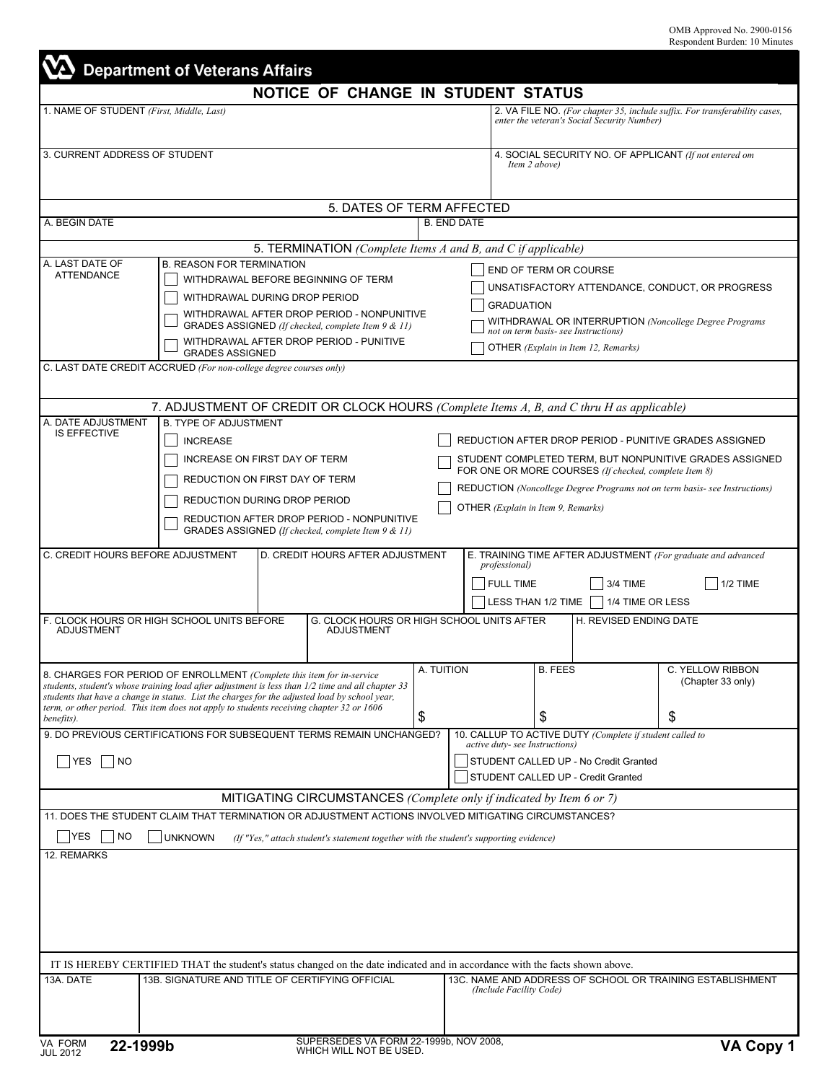|                                                                                    |                                                                                                                                                                                                                                                         |                                                                                                                                                                                                                                                                                                                                                                          |                    | NOTICE OF CHANGE IN STUDENT STATUS                                                                                                                                                                                                                                                             |                                                                                                                                                                                                      |                                                                                                            |  |  |
|------------------------------------------------------------------------------------|---------------------------------------------------------------------------------------------------------------------------------------------------------------------------------------------------------------------------------------------------------|--------------------------------------------------------------------------------------------------------------------------------------------------------------------------------------------------------------------------------------------------------------------------------------------------------------------------------------------------------------------------|--------------------|------------------------------------------------------------------------------------------------------------------------------------------------------------------------------------------------------------------------------------------------------------------------------------------------|------------------------------------------------------------------------------------------------------------------------------------------------------------------------------------------------------|------------------------------------------------------------------------------------------------------------|--|--|
|                                                                                    | 1. NAME OF STUDENT (First, Middle, Last)                                                                                                                                                                                                                |                                                                                                                                                                                                                                                                                                                                                                          |                    |                                                                                                                                                                                                                                                                                                | 2. VA FILE NO. (For chapter 35, include suffix. For transferability cases,<br>enter the veteran's Social Security Number)<br>4. SOCIAL SECURITY NO. OF APPLICANT (If not entered om<br>Item 2 above) |                                                                                                            |  |  |
| 3. CURRENT ADDRESS OF STUDENT                                                      |                                                                                                                                                                                                                                                         |                                                                                                                                                                                                                                                                                                                                                                          |                    |                                                                                                                                                                                                                                                                                                |                                                                                                                                                                                                      |                                                                                                            |  |  |
|                                                                                    |                                                                                                                                                                                                                                                         | 5. DATES OF TERM AFFECTED                                                                                                                                                                                                                                                                                                                                                |                    |                                                                                                                                                                                                                                                                                                |                                                                                                                                                                                                      |                                                                                                            |  |  |
| A. BEGIN DATE                                                                      |                                                                                                                                                                                                                                                         |                                                                                                                                                                                                                                                                                                                                                                          | <b>B. END DATE</b> |                                                                                                                                                                                                                                                                                                |                                                                                                                                                                                                      |                                                                                                            |  |  |
|                                                                                    |                                                                                                                                                                                                                                                         | 5. TERMINATION (Complete Items A and B, and C if applicable)                                                                                                                                                                                                                                                                                                             |                    |                                                                                                                                                                                                                                                                                                |                                                                                                                                                                                                      |                                                                                                            |  |  |
| A. LAST DATE OF<br><b>ATTENDANCE</b>                                               | <b>B. REASON FOR TERMINATION</b><br>WITHDRAWAL BEFORE BEGINNING OF TERM<br>WITHDRAWAL DURING DROP PERIOD<br>WITHDRAWAL AFTER DROP PERIOD - NONPUNITIVE<br>GRADES ASSIGNED (If checked, complete Item 9 & 11)<br>WITHDRAWAL AFTER DROP PERIOD - PUNITIVE |                                                                                                                                                                                                                                                                                                                                                                          |                    | END OF TERM OR COURSE<br>UNSATISFACTORY ATTENDANCE, CONDUCT, OR PROGRESS<br><b>GRADUATION</b><br>WITHDRAWAL OR INTERRUPTION (Noncollege Degree Programs<br>not on term basis- see Instructions)<br>OTHER (Explain in Item 12, Remarks)                                                         |                                                                                                                                                                                                      |                                                                                                            |  |  |
|                                                                                    | <b>GRADES ASSIGNED</b><br>C. LAST DATE CREDIT ACCRUED (For non-college degree courses only)                                                                                                                                                             |                                                                                                                                                                                                                                                                                                                                                                          |                    |                                                                                                                                                                                                                                                                                                |                                                                                                                                                                                                      |                                                                                                            |  |  |
| A. DATE ADJUSTMENT                                                                 | <b>B. TYPE OF ADJUSTMENT</b>                                                                                                                                                                                                                            | 7. ADJUSTMENT OF CREDIT OR CLOCK HOURS (Complete Items A, B, and C thru H as applicable)                                                                                                                                                                                                                                                                                 |                    |                                                                                                                                                                                                                                                                                                |                                                                                                                                                                                                      |                                                                                                            |  |  |
| <b>IS EFFECTIVE</b>                                                                | <b>INCREASE</b>                                                                                                                                                                                                                                         | INCREASE ON FIRST DAY OF TERM<br>REDUCTION ON FIRST DAY OF TERM<br>REDUCTION DURING DROP PERIOD<br>REDUCTION AFTER DROP PERIOD - NONPUNITIVE<br>GRADES ASSIGNED (If checked, complete Item 9 & 11)                                                                                                                                                                       |                    | REDUCTION AFTER DROP PERIOD - PUNITIVE GRADES ASSIGNED<br>STUDENT COMPLETED TERM, BUT NONPUNITIVE GRADES ASSIGNED<br>FOR ONE OR MORE COURSES (If checked, complete Item 8)<br>REDUCTION (Noncollege Degree Programs not on term basis- see Instructions)<br>OTHER (Explain in Item 9, Remarks) |                                                                                                                                                                                                      |                                                                                                            |  |  |
| C. CREDIT HOURS BEFORE ADJUSTMENT                                                  |                                                                                                                                                                                                                                                         | D. CREDIT HOURS AFTER ADJUSTMENT                                                                                                                                                                                                                                                                                                                                         |                    | <i>professional</i> )<br><b>FULL TIME</b>                                                                                                                                                                                                                                                      | LESS THAN 1/2 TIME                                                                                                                                                                                   | E. TRAINING TIME AFTER ADJUSTMENT (For graduate and advanced<br>1/2 TIME<br>3/4 TIME<br>  1/4 TIME OR LESS |  |  |
| <b>ADJUSTMENT</b>                                                                  | F. CLOCK HOURS OR HIGH SCHOOL UNITS BEFORE                                                                                                                                                                                                              | G. CLOCK HOURS OR HIGH SCHOOL UNITS AFTER<br><b>ADJUSTMENT</b>                                                                                                                                                                                                                                                                                                           |                    |                                                                                                                                                                                                                                                                                                |                                                                                                                                                                                                      | H. REVISED ENDING DATE                                                                                     |  |  |
| benefits).                                                                         |                                                                                                                                                                                                                                                         | 8. CHARGES FOR PERIOD OF ENROLLMENT (Complete this item for in-service<br>students, student's whose training load after adjustment is less than 1/2 time and all chapter 33<br>students that have a change in status. List the charges for the adjusted load by school year,<br>term, or other period. This item does not apply to students receiving chapter 32 or 1606 | a. Tuition<br>\$   |                                                                                                                                                                                                                                                                                                | <b>B. FEES</b><br>\$                                                                                                                                                                                 | C. YELLOW RIBBON<br>(Chapter 33 only)<br>\$                                                                |  |  |
| 9. DO PREVIOUS CERTIFICATIONS FOR SUBSEQUENT TERMS REMAIN UNCHANGED?<br>YES<br> NO |                                                                                                                                                                                                                                                         |                                                                                                                                                                                                                                                                                                                                                                          |                    |                                                                                                                                                                                                                                                                                                | 10. CALLUP TO ACTIVE DUTY (Complete if student called to<br>active duty- see Instructions)<br>STUDENT CALLED UP - No Credit Granted<br>STUDENT CALLED UP - Credit Granted                            |                                                                                                            |  |  |
|                                                                                    |                                                                                                                                                                                                                                                         | MITIGATING CIRCUMSTANCES (Complete only if indicated by Item 6 or 7)                                                                                                                                                                                                                                                                                                     |                    |                                                                                                                                                                                                                                                                                                |                                                                                                                                                                                                      |                                                                                                            |  |  |
|                                                                                    |                                                                                                                                                                                                                                                         | 11. DOES THE STUDENT CLAIM THAT TERMINATION OR ADJUSTMENT ACTIONS INVOLVED MITIGATING CIRCUMSTANCES?                                                                                                                                                                                                                                                                     |                    |                                                                                                                                                                                                                                                                                                |                                                                                                                                                                                                      |                                                                                                            |  |  |
| <b>YES</b><br>  NO<br>12. REMARKS                                                  | <b>UNKNOWN</b>                                                                                                                                                                                                                                          | (If "Yes," attach student's statement together with the student's supporting evidence)                                                                                                                                                                                                                                                                                   |                    |                                                                                                                                                                                                                                                                                                |                                                                                                                                                                                                      |                                                                                                            |  |  |
|                                                                                    |                                                                                                                                                                                                                                                         |                                                                                                                                                                                                                                                                                                                                                                          |                    |                                                                                                                                                                                                                                                                                                |                                                                                                                                                                                                      |                                                                                                            |  |  |
|                                                                                    |                                                                                                                                                                                                                                                         |                                                                                                                                                                                                                                                                                                                                                                          |                    |                                                                                                                                                                                                                                                                                                |                                                                                                                                                                                                      |                                                                                                            |  |  |
|                                                                                    |                                                                                                                                                                                                                                                         |                                                                                                                                                                                                                                                                                                                                                                          |                    |                                                                                                                                                                                                                                                                                                | IT IS HEREBY CERTIFIED THAT the student's status changed on the date indicated and in accordance with the facts shown above.                                                                         |                                                                                                            |  |  |